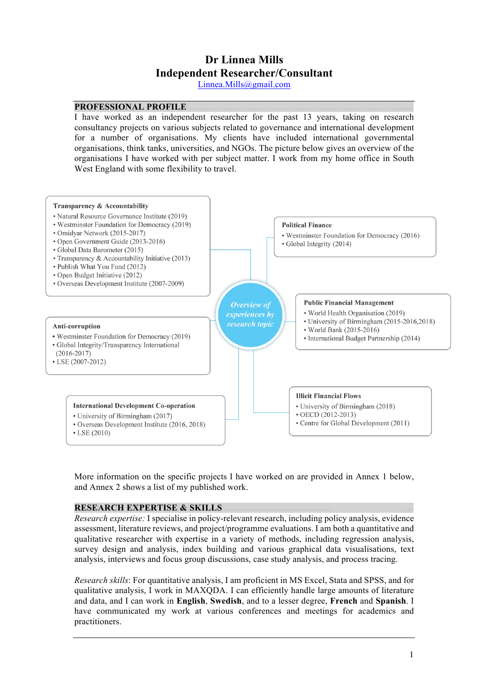# **Dr Linnea Mills Independent Researcher/Consultant**

Linnea.Mills@gmail.com

# **PROFESSIONAL PROFILE**

I have worked as an independent researcher for the past 13 years, taking on research consultancy projects on various subjects related to governance and international development for a number of organisations. My clients have included international governmental organisations, think tanks, universities, and NGOs. The picture below gives an overview of the organisations I have worked with per subject matter. I work from my home office in South West England with some flexibility to travel.



More information on the specific projects I have worked on are provided in Annex 1 below, and Annex 2 shows a list of my published work.

# **RESEARCH EXPERTISE & SKILLS**

*Research expertise:* I specialise in policy-relevant research, including policy analysis, evidence assessment, literature reviews, and project/programme evaluations. I am both a quantitative and qualitative researcher with expertise in a variety of methods, including regression analysis, survey design and analysis, index building and various graphical data visualisations, text analysis, interviews and focus group discussions, case study analysis, and process tracing.

*Research skills*: For quantitative analysis, I am proficient in MS Excel, Stata and SPSS, and for qualitative analysis, I work in MAXQDA. I can efficiently handle large amounts of literature and data, and I can work in **English**, **Swedish**, and to a lesser degree, **French** and **Spanish**. I have communicated my work at various conferences and meetings for academics and practitioners.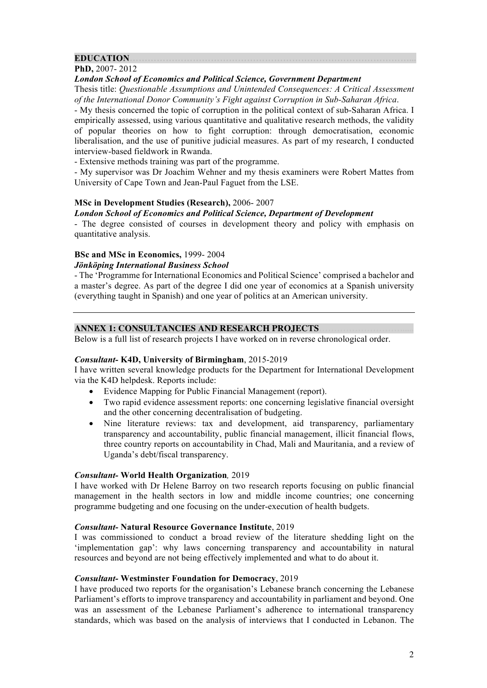# **EDUCATION.**

# **PhD,** 2007- 2012

# *London School of Economics and Political Science, Government Department*

Thesis title: *Questionable Assumptions and Unintended Consequences: A Critical Assessment of the International Donor Community's Fight against Corruption in Sub-Saharan Africa*.

- My thesis concerned the topic of corruption in the political context of sub-Saharan Africa. I empirically assessed, using various quantitative and qualitative research methods, the validity of popular theories on how to fight corruption: through democratisation, economic liberalisation, and the use of punitive judicial measures. As part of my research, I conducted interview-based fieldwork in Rwanda.

- Extensive methods training was part of the programme.

- My supervisor was Dr Joachim Wehner and my thesis examiners were Robert Mattes from University of Cape Town and Jean-Paul Faguet from the LSE.

# **MSc in Development Studies (Research),** 2006- 2007

# *London School of Economics and Political Science, Department of Development*

- The degree consisted of courses in development theory and policy with emphasis on quantitative analysis.

# **BSc and MSc in Economics,** 1999- 2004

# *Jönköping International Business School*

- The 'Programme for International Economics and Political Science' comprised a bachelor and a master's degree. As part of the degree I did one year of economics at a Spanish university (everything taught in Spanish) and one year of politics at an American university.

# **ANNEX 1: CONSULTANCIES AND RESEARCH PROJECTS**

Below is a full list of research projects I have worked on in reverse chronological order.

# *Consultant-* **K4D, University of Birmingham**, 2015-2019

I have written several knowledge products for the Department for International Development via the K4D helpdesk. Reports include:

- Evidence Mapping for Public Financial Management (report).
- Two rapid evidence assessment reports: one concerning legislative financial oversight and the other concerning decentralisation of budgeting.
- Nine literature reviews: tax and development, aid transparency, parliamentary transparency and accountability, public financial management, illicit financial flows, three country reports on accountability in Chad, Mali and Mauritania, and a review of Uganda's debt/fiscal transparency.

# *Consultant-* **World Health Organization***,* 2019

I have worked with Dr Helene Barroy on two research reports focusing on public financial management in the health sectors in low and middle income countries; one concerning programme budgeting and one focusing on the under-execution of health budgets.

# *Consultant-* **Natural Resource Governance Institute**, 2019

I was commissioned to conduct a broad review of the literature shedding light on the 'implementation gap': why laws concerning transparency and accountability in natural resources and beyond are not being effectively implemented and what to do about it.

# *Consultant-* **Westminster Foundation for Democracy**, 2019

I have produced two reports for the organisation's Lebanese branch concerning the Lebanese Parliament's efforts to improve transparency and accountability in parliament and beyond. One was an assessment of the Lebanese Parliament's adherence to international transparency standards, which was based on the analysis of interviews that I conducted in Lebanon. The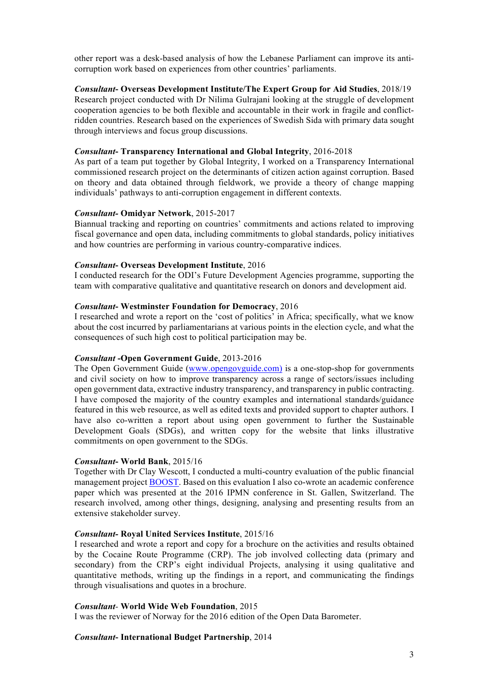other report was a desk-based analysis of how the Lebanese Parliament can improve its anticorruption work based on experiences from other countries' parliaments.

*Consultant***- Overseas Development Institute/The Expert Group for Aid Studies**, 2018/19 Research project conducted with Dr Nilima Gulrajani looking at the struggle of development cooperation agencies to be both flexible and accountable in their work in fragile and conflictridden countries. Research based on the experiences of Swedish Sida with primary data sought through interviews and focus group discussions.

#### *Consultant***- Transparency International and Global Integrity**, 2016-2018

As part of a team put together by Global Integrity, I worked on a Transparency International commissioned research project on the determinants of citizen action against corruption. Based on theory and data obtained through fieldwork, we provide a theory of change mapping individuals' pathways to anti-corruption engagement in different contexts.

#### *Consultant-* **Omidyar Network**, 2015-2017

Biannual tracking and reporting on countries' commitments and actions related to improving fiscal governance and open data, including commitments to global standards, policy initiatives and how countries are performing in various country-comparative indices.

# *Consultant***- Overseas Development Institute**, 2016

I conducted research for the ODI's Future Development Agencies programme, supporting the team with comparative qualitative and quantitative research on donors and development aid.

#### *Consultant***- Westminster Foundation for Democracy**, 2016

I researched and wrote a report on the 'cost of politics' in Africa; specifically, what we know about the cost incurred by parliamentarians at various points in the election cycle, and what the consequences of such high cost to political participation may be.

#### *Consultant* **-Open Government Guide**, 2013-2016

The Open Government Guide (www.opengovguide.com) is a one-stop-shop for governments and civil society on how to improve transparency across a range of sectors/issues including open government data, extractive industry transparency, and transparency in public contracting. I have composed the majority of the country examples and international standards/guidance featured in this web resource, as well as edited texts and provided support to chapter authors. I have also co-written a report about using open government to further the Sustainable Development Goals (SDGs), and written copy for the website that links illustrative commitments on open government to the SDGs.

# *Consultant***- World Bank**, 2015/16

Together with Dr Clay Wescott, I conducted a multi-country evaluation of the public financial management project BOOST. Based on this evaluation I also co-wrote an academic conference paper which was presented at the 2016 IPMN conference in St. Gallen, Switzerland. The research involved, among other things, designing, analysing and presenting results from an extensive stakeholder survey.

#### *Consultant-* **Royal United Services Institute**, 2015/16

I researched and wrote a report and copy for a brochure on the activities and results obtained by the Cocaine Route Programme (CRP). The job involved collecting data (primary and secondary) from the CRP's eight individual Projects, analysing it using qualitative and quantitative methods, writing up the findings in a report, and communicating the findings through visualisations and quotes in a brochure.

# *Consultant-* **World Wide Web Foundation**, 2015

I was the reviewer of Norway for the 2016 edition of the Open Data Barometer.

#### *Consultant***- International Budget Partnership**, 2014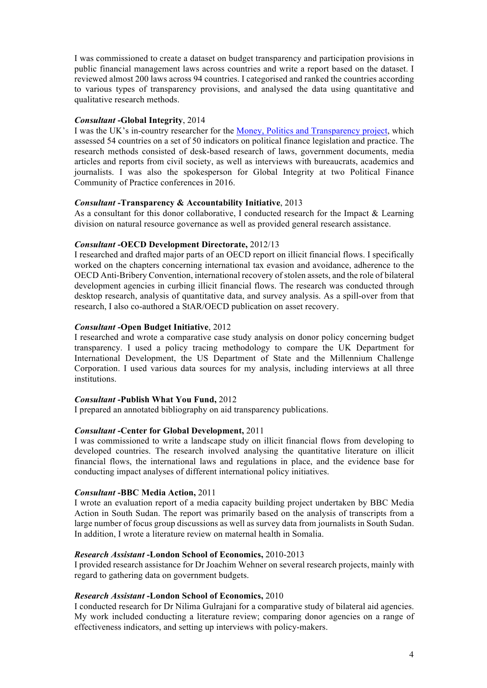I was commissioned to create a dataset on budget transparency and participation provisions in public financial management laws across countries and write a report based on the dataset. I reviewed almost 200 laws across 94 countries. I categorised and ranked the countries according to various types of transparency provisions, and analysed the data using quantitative and qualitative research methods.

# *Consultant* **-Global Integrity**, 2014

I was the UK's in-country researcher for the Money, Politics and Transparency project, which assessed 54 countries on a set of 50 indicators on political finance legislation and practice. The research methods consisted of desk-based research of laws, government documents, media articles and reports from civil society, as well as interviews with bureaucrats, academics and journalists. I was also the spokesperson for Global Integrity at two Political Finance Community of Practice conferences in 2016.

# *Consultant* **-Transparency & Accountability Initiative**, 2013

As a consultant for this donor collaborative, I conducted research for the Impact & Learning division on natural resource governance as well as provided general research assistance.

# *Consultant* **-OECD Development Directorate,** 2012/13

I researched and drafted major parts of an OECD report on illicit financial flows. I specifically worked on the chapters concerning international tax evasion and avoidance, adherence to the OECD Anti-Bribery Convention, international recovery of stolen assets, and the role of bilateral development agencies in curbing illicit financial flows. The research was conducted through desktop research, analysis of quantitative data, and survey analysis. As a spill-over from that research, I also co-authored a StAR/OECD publication on asset recovery.

# *Consultant* **-Open Budget Initiative**, 2012

I researched and wrote a comparative case study analysis on donor policy concerning budget transparency. I used a policy tracing methodology to compare the UK Department for International Development, the US Department of State and the Millennium Challenge Corporation. I used various data sources for my analysis, including interviews at all three institutions.

# *Consultant* **-Publish What You Fund,** 2012

I prepared an annotated bibliography on aid transparency publications.

# *Consultant* **-Center for Global Development,** 2011

I was commissioned to write a landscape study on illicit financial flows from developing to developed countries. The research involved analysing the quantitative literature on illicit financial flows, the international laws and regulations in place, and the evidence base for conducting impact analyses of different international policy initiatives.

# *Consultant* **-BBC Media Action,** 2011

I wrote an evaluation report of a media capacity building project undertaken by BBC Media Action in South Sudan. The report was primarily based on the analysis of transcripts from a large number of focus group discussions as well as survey data from journalists in South Sudan. In addition, I wrote a literature review on maternal health in Somalia.

# *Research Assistant* **-London School of Economics,** 2010-2013

I provided research assistance for Dr Joachim Wehner on several research projects, mainly with regard to gathering data on government budgets.

# *Research Assistant* **-London School of Economics,** 2010

I conducted research for Dr Nilima Gulrajani for a comparative study of bilateral aid agencies. My work included conducting a literature review; comparing donor agencies on a range of effectiveness indicators, and setting up interviews with policy-makers.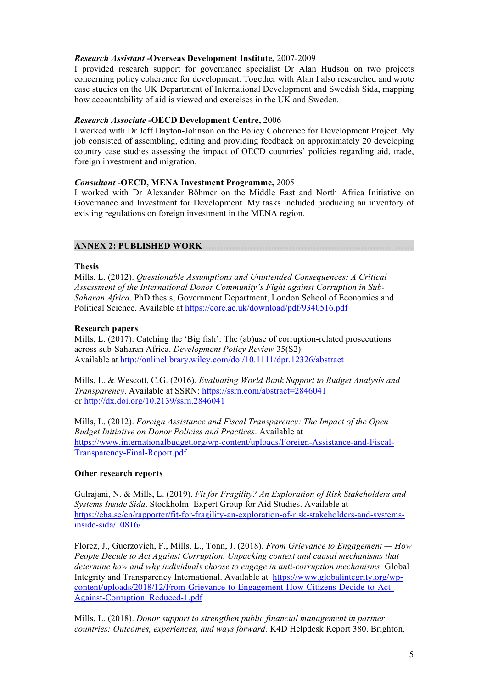# *Research Assistant* **-Overseas Development Institute,** 2007-2009

I provided research support for governance specialist Dr Alan Hudson on two projects concerning policy coherence for development. Together with Alan I also researched and wrote case studies on the UK Department of International Development and Swedish Sida, mapping how accountability of aid is viewed and exercises in the UK and Sweden.

# *Research Associate* **-OECD Development Centre,** 2006

I worked with Dr Jeff Dayton-Johnson on the Policy Coherence for Development Project. My job consisted of assembling, editing and providing feedback on approximately 20 developing country case studies assessing the impact of OECD countries' policies regarding aid, trade, foreign investment and migration.

# *Consultant* **-OECD, MENA Investment Programme,** 2005

I worked with Dr Alexander Böhmer on the Middle East and North Africa Initiative on Governance and Investment for Development. My tasks included producing an inventory of existing regulations on foreign investment in the MENA region.

# **ANNEX 2: PUBLISHED WORK.**

# **Thesis**

Mills. L. (2012). *Questionable Assumptions and Unintended Consequences: A Critical Assessment of the International Donor Community's Fight against Corruption in Sub-Saharan Africa*. PhD thesis, Government Department, London School of Economics and Political Science. Available at https://core.ac.uk/download/pdf/9340516.pdf

# **Research papers**

Mills, L. (2017). Catching the 'Big fish': The (ab)use of corruption-related prosecutions across sub-Saharan Africa. *Development Policy Review* 35(S2). Available at http://onlinelibrary.wiley.com/doi/10.1111/dpr.12326/abstract

Mills, L. & Wescott, C.G. (2016). *Evaluating World Bank Support to Budget Analysis and Transparency*. Available at SSRN: https://ssrn.com/abstract=2846041 or http://dx.doi.org/10.2139/ssrn.2846041

Mills, L. (2012). *Foreign Assistance and Fiscal Transparency: The Impact of the Open Budget Initiative on Donor Policies and Practices*. Available at https://www.internationalbudget.org/wp-content/uploads/Foreign-Assistance-and-Fiscal-Transparency-Final-Report.pdf

# **Other research reports**

Gulrajani, N. & Mills, L. (2019). *Fit for Fragility? An Exploration of Risk Stakeholders and Systems Inside Sida*. Stockholm: Expert Group for Aid Studies. Available at https://eba.se/en/rapporter/fit-for-fragility-an-exploration-of-risk-stakeholders-and-systemsinside-sida/10816/

Florez, J., Guerzovich, F., Mills, L., Tonn, J. (2018). *From Grievance to Engagement — How People Decide to Act Against Corruption. Unpacking context and causal mechanisms that determine how and why individuals choose to engage in anti-corruption mechanisms.* Global Integrity and Transparency International. Available at https://www.globalintegrity.org/wpcontent/uploads/2018/12/From-Grievance-to-Engagement-How-Citizens-Decide-to-Act-Against-Corruption\_Reduced-1.pdf

Mills, L. (2018). *Donor support to strengthen public financial management in partner countries: Outcomes, experiences, and ways forward.* K4D Helpdesk Report 380. Brighton,